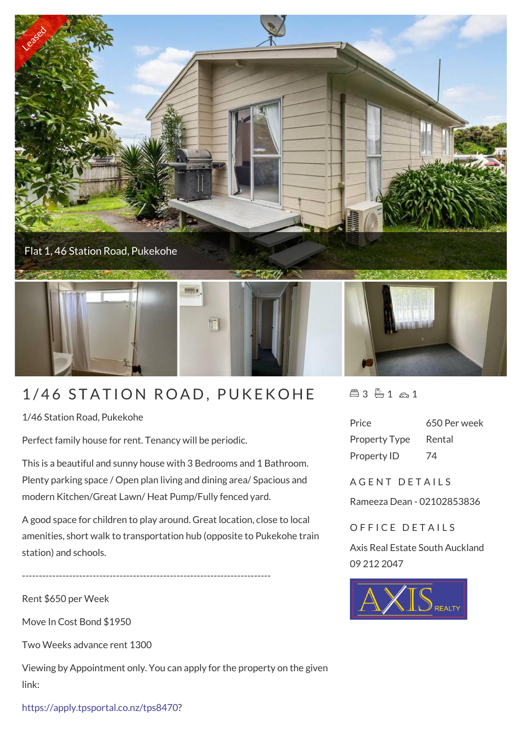

## 1/46 STATION ROAD, PUKEKOHE

1/46 Station Road, Pukekohe

Perfect family house for rent. Tenancy will be periodic.

This is a beautiful and sunny house with 3 Bedrooms and 1 Bathroom. Plenty parking space / Open plan living and dining area/ Spacious and modern Kitchen/Great Lawn/ Heat Pump/Fully fenced yard.

A good space for children to play around. Great location, close to local amenities, short walk to transportation hub (opposite to Pukekohe train station) and schools.

--------------------------------------------------------------------------

Rent \$650 per Week

Move In Cost Bond \$1950

Two Weeks advance rent 1300

Viewing by Appointment only. You can apply for the property on the given link:

 $43 - 1 - 1$ 

| Price                | 650 Per week |
|----------------------|--------------|
| <b>Property Type</b> | Rental       |
| Property ID          | 74           |

A G F N T D F T A I L S

Rameeza Dean - 02102853836

OFFICE DETAILS

Axis Real Estate South Auckland 09 212 2047



[https://apply.tpsportal.co.nz/tps8470?](https://apply.tpsportal.co.nz/tps8470?fbclid=IwAR283Q1tWS6o5lYx_rLRBO3mbHyDvIQqso9vuc74lDwqhdk5Hx3xRESGTUw)